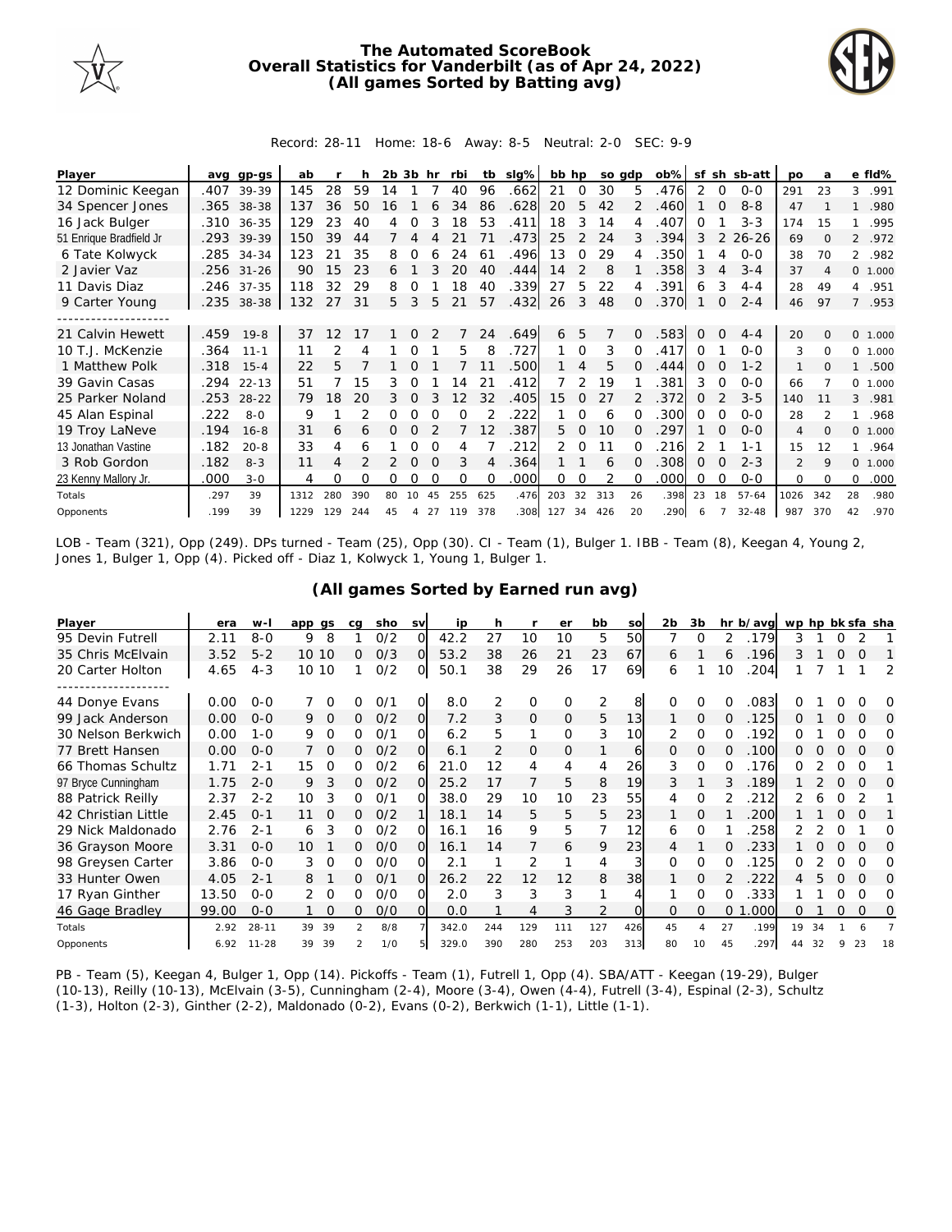

## **The Automated ScoreBook Overall Statistics for Vanderbilt (as of Apr 24, 2022) (All games Sorted by Batting avg)**



## Record: 28-11 Home: 18-6 Away: 8-5 Neutral: 2-0 SEC: 9-9

| Player                  | ava  | $qp-qs$    | ab   |     | h   | 2b | 3b       | hr       | rbi      | tb       | $slq\%$ | bb hp         |          | so adp |          | $ob\%$ | sf       | sh          | sb-att    | <b>DO</b>      | a             |                | e fld%   |
|-------------------------|------|------------|------|-----|-----|----|----------|----------|----------|----------|---------|---------------|----------|--------|----------|--------|----------|-------------|-----------|----------------|---------------|----------------|----------|
| 12 Dominic Keegan       | .407 | 39-39      | 145  | 28  | 59  | 14 |          |          | 40       | 96       | .662    | 21            | $\Omega$ | 30     | 5        | .476   | 2        | 0           | $0 - 0$   | 291            | 23            | 3              | .991     |
| 34 Spencer Jones        |      | .365 38-38 | 137  | 36  | 50  | 16 |          |          | 34       | 86       | .628    | 20            | 5        | 42     |          | .460   |          | $\Omega$    | $8 - 8$   | 47             |               |                | .980     |
| 16 Jack Bulger          | .310 | $36 - 35$  | 129  | 23  | 40  | 4  |          |          | 18       | 53       | .411    | 18            | 3        | 14     |          | 407    | 0        |             | $3 - 3$   | 174            | 15            |                | .995     |
| 51 Enrique Bradfield Jr | .293 | 39-39      | 150  | 39  | 44  | 7  | 4        |          |          | 71       | .473    | 25            | 2        | 24     | 3        | .394   | 3        | 2           | $26 - 26$ | 69             | $\Omega$      | $\overline{2}$ | .972     |
| 6 Tate Kolwyck          | .285 | $34 - 34$  | 123  | 21  | 35  | 8  | Ω        | Ь        | 24       | 61       | .496    | 13            | $\Omega$ | 29     |          | .350   |          | 4           | $0 - 0$   | 38             | 70            | $\mathcal{L}$  | .982     |
| 2 Javier Vaz            | .256 | $31 - 26$  | 90   | 15  | 23  | 6  |          |          | 20       | 40       | .444    | 14            | 2        | 8      |          | 358    | 3        | 4           | $3 - 4$   | 37             | 4             |                | 0, 1,000 |
| 11 Davis Diaz           |      | .246 37-35 | 118  | 32  | 29  | 8  | Ω        |          | 18       | 40       | .339    | 27            | 5        | 22     | 4        | .391   | 6        | 3           | $4 - 4$   | 28             | 49            | $\overline{4}$ | .951     |
| 9 Carter Young          |      | .235 38-38 | 132  | 27  | 31  | 5. | 3        | 5        | 21       | 57       | .432    | 26            | 3        | 48     | 0        | .370   |          | $\mathbf 0$ | $2 - 4$   | 46             | 97            | $7^{\circ}$    | .953     |
|                         |      |            |      |     |     |    |          |          |          |          |         |               |          |        |          |        |          |             |           |                |               |                |          |
| 21 Calvin Hewett        | .459 | $19 - 8$   | 37   | 12  | 17  |    | 0        |          |          | 24       | .649    | 6             | 5        | 7      | $\Omega$ | .583   | 0        | $\Omega$    | $4 - 4$   | 20             | $\Omega$      |                | 0 1.000  |
| 10 T.J. McKenzie        | .364 | $11 - 1$   | 11   |     | 4   |    |          |          | 5        | 8        | .727    |               | $\Omega$ | 3      |          | .417   | $\Omega$ |             | $0 - 0$   | 3              | 0             | 0              | 1.000    |
| 1 Matthew Polk          | .318 | $15 - 4$   | 22   | 5   |     |    |          |          |          |          | .500    |               | 4        | 5      |          | .444   | $\Omega$ | $\Omega$    | $1 - 2$   | 1              | $\Omega$      | $\mathbf{1}$   | .500     |
| 39 Gavin Casas          | .294 | $22 - 13$  | 51   |     | 15  | 3  | Ω        |          | 14       | 21       | .412    |               | 2        | 19     |          | 381    | 3        | $\Omega$    | $0 - 0$   | 66             |               |                | 0 1.000  |
| 25 Parker Noland        | .253 | $28 - 22$  | 79   | 18  | 20  | 3  | $\Omega$ |          | 12       | 32       | .405    | 15            | $\Omega$ | 27     |          | 372    | $\Omega$ |             | $3 - 5$   | 140            | 11            | 3              | .981     |
| 45 Alan Espinal         | .222 | $8 - 0$    | 9    |     |     | Ω  |          |          | $\Omega$ |          | 222     |               |          | 6      |          | .300   | $\Omega$ | $\Omega$    | $O - O$   | 28             | $\mathcal{P}$ |                | .968     |
| 19 Troy LaNeve          | .194 | $16 - 8$   | 31   | 6   | 6   | 0  | $\Omega$ |          |          | 12       | .387    | 5.            | $\Omega$ | 10     | 0        | 297    |          | $\Omega$    | $0 - 0$   | $\overline{4}$ | $\Omega$      |                | 0 1.000  |
| 13 Jonathan Vastine     | .182 | $20 - 8$   | 33   | 4   | 6   |    |          |          |          |          | .212    | $\mathcal{P}$ | $\Omega$ | 11     |          | 216    | 2        |             | $1 - 1$   | 15             | 12            | 1              | .964     |
| 3 Rob Gordon            | .182 | $8 - 3$    | 11   | 4   |     |    | O        |          | 3        | 4        | .364    |               |          | 6      | $\Omega$ | .308   | $\Omega$ | $\Omega$    | $2 - 3$   | $\overline{2}$ | 9             | $\Omega$       | 1.000    |
| 23 Kenny Mallory Jr.    | .000 | $3 - 0$    | 4    | Ω   | Ω   | 0  | Ω        | $\Omega$ | $\Omega$ | $\Omega$ | .000    | 0             | 0        |        |          | .000   | $\Omega$ | $\Omega$    | $0 - 0$   | 0              | $\Omega$      | 0              | .000     |
| Totals                  | .297 | 39         | 1312 | 280 | 390 | 80 | 10       | 45       | 255      | 625      | .476    | 203           | 32       | 313    | 26       | .398   | 23       | 18          | $57 - 64$ | 1026           | 342           | 28             | .980     |
| Opponents               | .199 | 39         | 1229 | 129 | 244 | 45 | 4        | 27       | 119      | 378      | .308    | 127           | 34       | 426    | 20       | .290   | 6        |             | $32 - 48$ | 987            | 370           | 42             | .970     |

LOB - Team (321), Opp (249). DPs turned - Team (25), Opp (30). CI - Team (1), Bulger 1. IBB - Team (8), Keegan 4, Young 2, Jones 1, Bulger 1, Opp (4). Picked off - Diaz 1, Kolwyck 1, Young 1, Bulger 1.

| (All games Sorted by Earned run avg) |
|--------------------------------------|
|--------------------------------------|

| Player              | era   | $W -$     | app qs         | ca            | sho | <b>SV</b> | ip    | h   |          | er       | bb  | SO              | 2b       | 3b             |          | hr b/avg | wp hp bk sfa sha |    |          |          |          |
|---------------------|-------|-----------|----------------|---------------|-----|-----------|-------|-----|----------|----------|-----|-----------------|----------|----------------|----------|----------|------------------|----|----------|----------|----------|
| 95 Devin Futrell    | 2.11  | $8 - 0$   | 8<br>9         |               | 0/2 | ∩         | 42.2  | 27  | 10       | 10       | 5   | 50              |          | ∩              |          | 179      | 3                |    |          |          |          |
| 35 Chris McElvain   | 3.52  | $5 - 2$   | 10 10          | Ω             | O/3 | $\Omega$  | 53.2  | 38  | 26       | 21       | 23  | 67              | 6        |                | 6        | .196     | 3                |    | $\Omega$ | O        |          |
| 20 Carter Holton    | 4.65  | $4 - 3$   | 10 10          |               | O/2 | O.        | 50.1  | 38  | 29       | 26       | 17  | 69              | 6        |                | 10       | 204      |                  |    |          |          | 2        |
|                     |       |           |                |               |     |           |       |     |          |          |     |                 |          |                |          |          |                  |    |          |          |          |
| 44 Donye Evans      | 0.00  | $O - O$   |                |               | 0/1 |           | 8.0   |     | 0        | O        | 2   | 8               | $\Omega$ | Ω              |          | .083     |                  |    |          |          | O        |
| 99 Jack Anderson    | 0.00  | $0 - 0$   | 9.<br>$\Omega$ | 0             | O/2 | $\Omega$  | 7.2   | 3   | $\Omega$ | $\Omega$ | 5   | 13              |          | $\Omega$       | $\Omega$ | .125     | ∩                |    | 0        | $\Omega$ | 0        |
| 30 Nelson Berkwich  | 0.00  | $1 - 0$   | 9              | O             | 0/1 | O         | 6.2   | 5   | 1        | $\Omega$ | 3   | 10 <sup>1</sup> | 2        | $\Omega$       | $\Omega$ | 192      | ∩                |    | $\Omega$ |          | Ω        |
| 77 Brett Hansen     | 0.00  | $0 - 0$   | $\Omega$       | 0             | O/2 | ΩI        | 6.1   | フ   | 0        | 0        |     | 61              | $\Omega$ | $\Omega$       | 0        | .100     | 0                |    | O        | $\Omega$ | O        |
| 66 Thomas Schultz   | 1.71  | $2 - 1$   | 15<br>$\Omega$ | 0             | 0/2 | 6         | 21.0  | 12  | 4        | 4        | 4   | 26              | 3        | $\Omega$       | 0        | .176     | 0                |    | 0        | ∩        |          |
| 97 Bryce Cunningham | 1.75  | $2 - 0$   | 3<br>9         | 0             | O/2 | $\Omega$  | 25.2  | 17  |          | 5        | 8   | 19              |          |                |          | .189     |                  |    |          | $\Omega$ | O        |
| 88 Patrick Reilly   | 2.37  | $2 - 2$   | 10<br>3        | 0             | 0/1 | ∩         | 38.0  | 29  | 10       | 10       | 23  | 55              |          | $\Omega$       |          | 212      |                  |    | 0        |          |          |
| 42 Christian Little | 2.45  | $O - 1$   |                | 0             | O/2 |           | 18.1  | 14  | 5        | 5        | 5   | 23              |          | O              |          | 200      |                  |    |          | $\Omega$ |          |
| 29 Nick Maldonado   | 2.76  | $2 - 1$   | 3<br>6         | 0             | O/2 | ΩI        | 16.1  | 16  | 9        | 5        |     | 12              | 6        | $\Omega$       |          | 258      |                  |    | O        |          | Ω        |
| 36 Grayson Moore    | 3.31  | $0 - 0$   | 10             | 0             | O/O | ΩI        | 16.1  | 14  |          | 6        | 9   | 23              |          |                |          | 233      |                  | Ω  | $\Omega$ | $\Omega$ | O        |
| 98 Greysen Carter   | 3.86  | $0 - 0$   | 3<br>$\Omega$  | O             | O/O |           | 2.1   |     | 2        |          | 4   |                 | $\Omega$ | $\Omega$       |          | 125      | ∩                |    | 0        |          | O        |
| 33 Hunter Owen      | 4.05  | $2 - 1$   | 8              | 0             | O/1 | O         | 26.2  | 22  | 12       | 12       | 8   | 38              |          | $\Omega$       |          | 222      | 4                | 5  | $\Omega$ | $\Omega$ | $\Omega$ |
| 17 Ryan Ginther     | 13.50 | $0 - 0$   | 2<br>$\Omega$  | ∩             | O/O | $\Omega$  | 2.0   | 3   | 3        | 3        |     |                 |          | $\Omega$       | 0        | 333      |                  |    |          | ∩        | Ω        |
| 46 Gage Bradley     | 99.00 | $0 - 0$   | $\Omega$       | 0             | O/O | O.        | 0.0   |     | 4        | 3        | 2   | $\Omega$        | $\Omega$ | $\Omega$       | $\Omega$ | .000     | 0                |    | 0        | $\Omega$ | 0        |
| Totals              | 2.92  | $28 - 11$ | 39<br>39       | $\mathcal{P}$ | 8/8 |           | 342.0 | 244 | 129      | 111      | 127 | 426             | 45       | $\overline{A}$ | 27       | .199     | 19               | 34 |          |          |          |
| Opponents           | 6.92  | $11 - 28$ | 39<br>39       |               | 1/0 |           | 329.0 | 390 | 280      | 253      | 203 | 313             | 80       | 10             | 45       | .297     | 44               | 32 | 9        | 23       | 18       |

PB - Team (5), Keegan 4, Bulger 1, Opp (14). Pickoffs - Team (1), Futrell 1, Opp (4). SBA/ATT - Keegan (19-29), Bulger (10-13), Reilly (10-13), McElvain (3-5), Cunningham (2-4), Moore (3-4), Owen (4-4), Futrell (3-4), Espinal (2-3), Schultz (1-3), Holton (2-3), Ginther (2-2), Maldonado (0-2), Evans (0-2), Berkwich (1-1), Little (1-1).